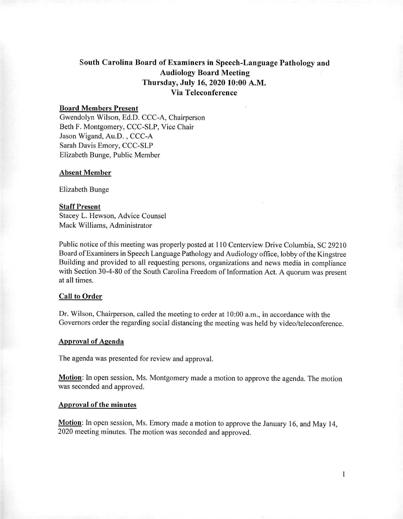# South Carolina Board of Examiners in Speech-Language Pathology and Audiology Board Meeting Thursday, July 16, 2020 10:00 A.M. Via Teleconference

# Board Members Present

Gwendolyn Wilson, Ed.D. CCC-A, Chairperson Beth F. Montgomery, CCC-SLP, Vice Chair Jason Wigand, Au.D. , CCC-A Sarah Davis Emory, CCC-SLP Elizabeth Bunge, Public Member

#### Absent Member

Elizabeth Bunge

### Staff Present

Stacey L. Hewson, Advice Counsel Mack Williams, Administrator

Public notice of this meeting was properly posted at 110 Centerview Drive Columbia, SC 29210 Board of Examiners in Speech Language Pathology and Audiology office, lobby of the Kingstree Building and provided to all requesting persons, organizations and news media in compliance with Section 30-4-80 of the South Carolina Freedom of Information Act. A quorum was present at all times.

### Call to Order

Dr. Wilson, Chairperson, called the meeting to order at 10:00 a.m., in accordance with the Governors order the regarding social distancing the meeting was held by video/teleconference.

#### Approval of Agenda

The agenda was presented for review and approval.

Motion: In open session, Ms. Montgomery made a motion to approve the agenda. The motion was seconded and approved.

#### Approval of the minutes

Motion: In open session, Ms. Emory made a motion to approve the January 16, and May 14, 2020 meeting minutes. The motion was seconded and approved.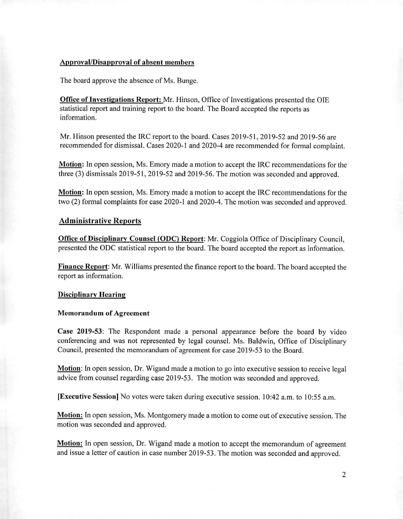# Approval/Disapproval of absent members

The board approve the absence of Ms. Bunge.

**Office of Investigations Report:** Mr. Hinson, Office of Investigations presented the OIE statistical report and training report to the board. The Board accepted the reports as information.

Mr. Hinson presented the IRC report to the board. Cases 2019-51, 2019-52 and 2019-56 are recommended for dismissal. Cases 2020-1 and 2020-4 are recommended for formal complaint.

**Motion:** In open session, Ms. Emory made a motion to accept the IRC recommendations for the three (3) dismissals 2019-51, 2019-52 and 2019-56. The motion was seconded and approved.

**Motion:** In open session, Ms. Emory made a motion to accept the IRC recommendations for the two (2) formal complaints for case 2020-1 and 2020-4. The motion was seconded and approved.

# **Administrative Reports**

**Office of Disciplinary Counsel (ODC) Report:** Mr. Coggiola Office of Disciplinary Council, presented the ODC statistical report to the board. The board accepted the report as information.

**Finance Report:** Mr. Williams presented the finance report to the board. The board accepted the report as information.

#### **Disciplinary Hearing**

#### **Memorandum of Agreement**

**Case 2019-53:** The Respondent made a personal appearance before the board by video conferencing and was not represented by legal counsel. Ms. Baldwin, Office of Disciplinary Council, presented the memorandum of agreement for case 2019-53 to the Board.

**Motion:** In open session, Dr. Wigand made a motion to go into executive session to receive legal advice from counsel regarding case 2019-53. The motion was seconded and approved.

**[Executive Session]** No votes were taken during executive session. 10:42 a.m. to 10:55 a.m.

**Motion:** In open session, Ms. Montgomery made a motion to come out of executive session. The motion was seconded and approved.

**Motion:** In open session, Dr. Wigand made a motion to accept the memorandum of agreement and issue a letter of caution in case number 2019-53. The motion was seconded and approved.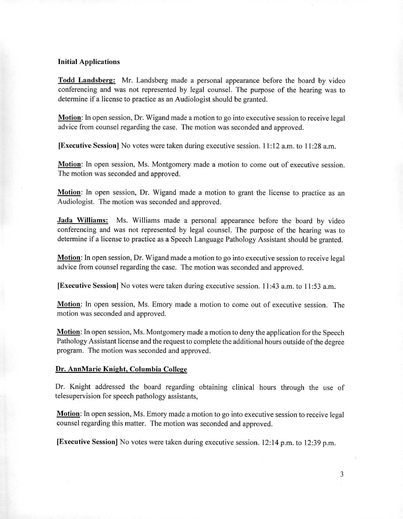# **Initial Applications**

**Todd Landsberg:** Mr. Landsberg made a personal appearance before the board by video conferencing and was not represented by legal counsel. The purpose of the hearing was to determine if a license to practice as an Audiologist should be granted.

**Motion:** In open session, Dr. Wigand made a motion to go into executive session to receive legal advice from counsel regarding the case. The motion was seconded and approved.

**[Executive Session]** No votes were taken during executive session. 11:12 a.m. to 11:28 a.m.

**Motion:** In open session, Ms. Montgomery made a motion to come out of executive session. The motion was seconded and approved.

**Motion:** In open session, Dr. Wigand made a motion to grant the license to practice as an Audiologist. The motion was seconded and approved.

**Jada Williams:** Ms. Williams made a personal appearance before the board by video conferencing and was not represented by legal counsel. The purpose of the hearing was to determine if a license to practice as a Speech Language Pathology Assistant should be granted.

**Motion:** In open session, Dr. Wigand made a motion to go into executive session to receive legal advice from counsel regarding the case. The motion was seconded and approved.

**[Executive Session]** No votes were taken during executive session. 11:43 a.m. to 11:53 a.m.

**Motion:** In open session, Ms. Emory made a motion to come out of executive session. The motion was seconded and approved.

**Motion:** In open session, Ms. Montgomery made a motion to deny the application for the Speech Pathology Assistant license and the request to complete the additional hours outside of the degree program. The motion was seconded and approved.

#### **Dr. AnnMarie Knight, Columbia College**

Dr. Knight addressed the board regarding obtaining clinical hours through the use of telesupervision for speech pathology assistants,

**Motion: In** open session, Ms. Emory made a motion to go into executive session to receive legal counsel regarding this matter. The motion was seconded and approved.

**[Executive Session]** No votes were taken during executive session. 12:14 p.m. to 12:39 p.m.